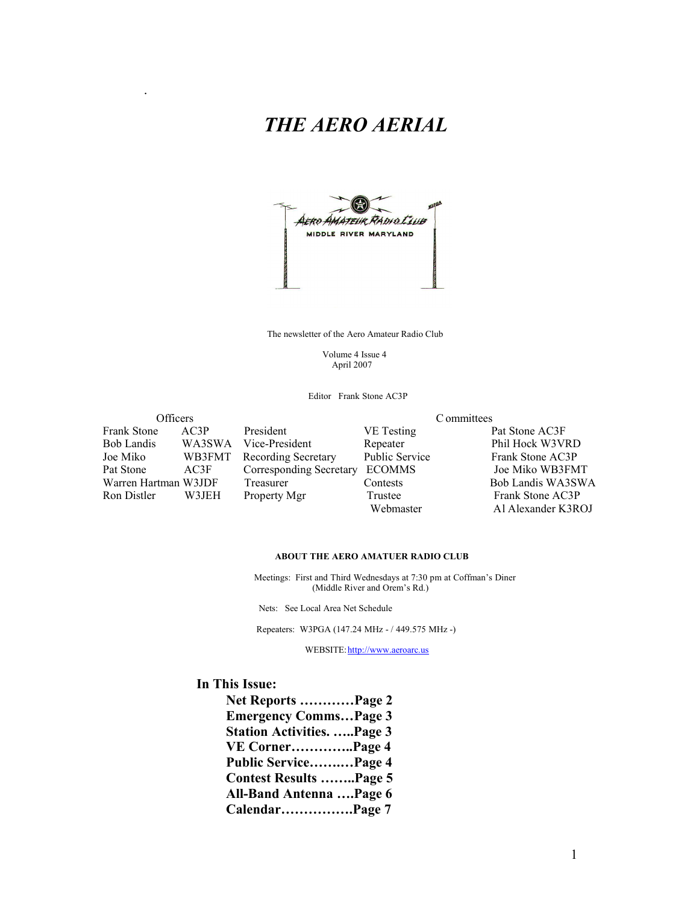## *THE AERO AERIAL*



The newsletter of the Aero Amateur Radio Club

 Volume 4 Issue 4 April 2007

Editor Frank Stone AC3P

| Officers             |        |                            | C ommittees           |                    |  |  |
|----------------------|--------|----------------------------|-----------------------|--------------------|--|--|
| <b>Frank Stone</b>   | AC3P   | President                  | VE Testing            | Pat Stone AC3F     |  |  |
| <b>Bob Landis</b>    | WA3SWA | Vice-President             | Repeater              | Phil Hock W3VRD    |  |  |
| Joe Miko             | WB3FMT | <b>Recording Secretary</b> | <b>Public Service</b> | Frank Stone AC3P   |  |  |
| Pat Stone            | AC3F   | Corresponding Secretary    | <b>ECOMMS</b>         | Joe Miko WB3FMT    |  |  |
| Warren Hartman W3JDF |        | Treasurer                  | Contests              | Bob Landis WA3SWA  |  |  |
| Ron Distler          | W3JEH  | Property Mgr               | Trustee               | Frank Stone AC3P   |  |  |
|                      |        |                            | Webmaster             | Al Alexander K3ROJ |  |  |

#### **ABOUT THE AERO AMATUER RADIO CLUB**

 Meetings: First and Third Wednesdays at 7:30 pm at Coffman's Diner (Middle River and Orem's Rd.)

Nets: See Local Area Net Schedule

Repeaters: W3PGA (147.24 MHz - / 449.575 MHz -)

WEBSITE: http://www.aeroarc.us

#### **In This Issue:**

.

**Net Reports …………Page 2 Emergency Comms…Page 3 Station Activities. …..Page 3 VE Corner…………..Page 4 Public Service…….…Page 4 Contest Results ……..Page 5 All-Band Antenna ….Page 6 Calendar…………….Page 7**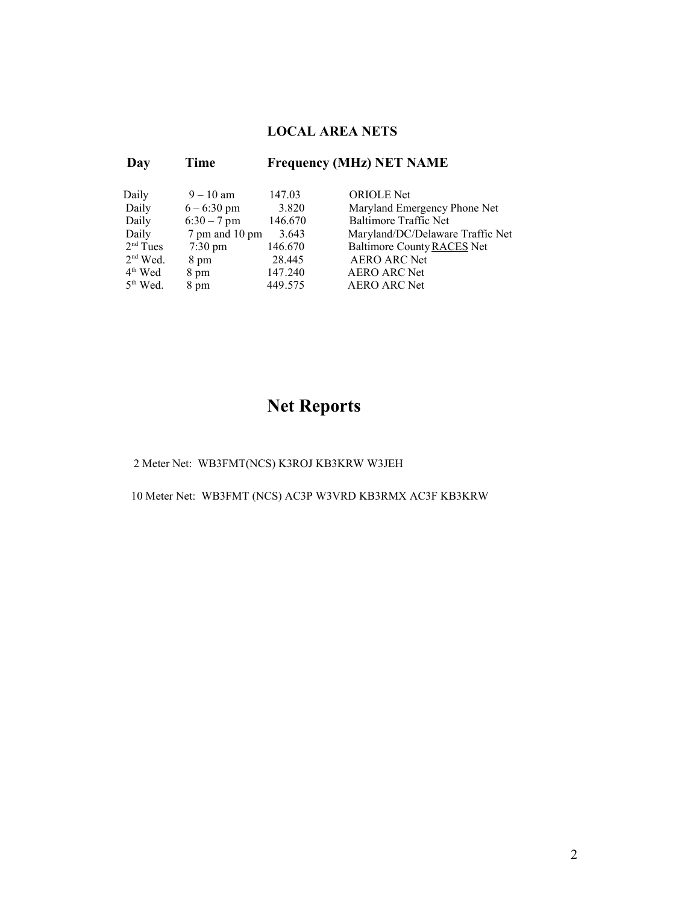#### **LOCAL AREA NETS**

| Day |                      | Time              | <b>Frequency (MHz) NET NAME</b> |                                  |  |
|-----|----------------------|-------------------|---------------------------------|----------------------------------|--|
|     | Daily                | $9 - 10$ am       | 147.03                          | <b>ORIOLE</b> Net                |  |
|     | Daily                | $6 - 6:30$ pm     | 3.820                           | Maryland Emergency Phone Net     |  |
|     | Daily                | $6:30 - 7$ pm     | 146.670                         | <b>Baltimore Traffic Net</b>     |  |
|     | Daily                | 7 pm and 10 pm    | 3.643                           | Maryland/DC/Delaware Traffic Net |  |
|     | 2 <sup>nd</sup> Tues | $7:30 \text{ pm}$ | 146.670                         | Baltimore County RACES Net       |  |
|     | $2nd$ Wed.           | 8 pm              | 28.445                          | <b>AERO ARC Net</b>              |  |
|     | $4th$ Wed            | 8 pm              | 147.240                         | <b>AERO ARC Net</b>              |  |
|     | $5th$ Wed.           | 8 pm              | 449.575                         | <b>AERO ARC Net</b>              |  |
|     |                      |                   |                                 |                                  |  |

# **Net Reports**

2 Meter Net: WB3FMT(NCS) K3ROJ KB3KRW W3JEH

10 Meter Net: WB3FMT (NCS) AC3P W3VRD KB3RMX AC3F KB3KRW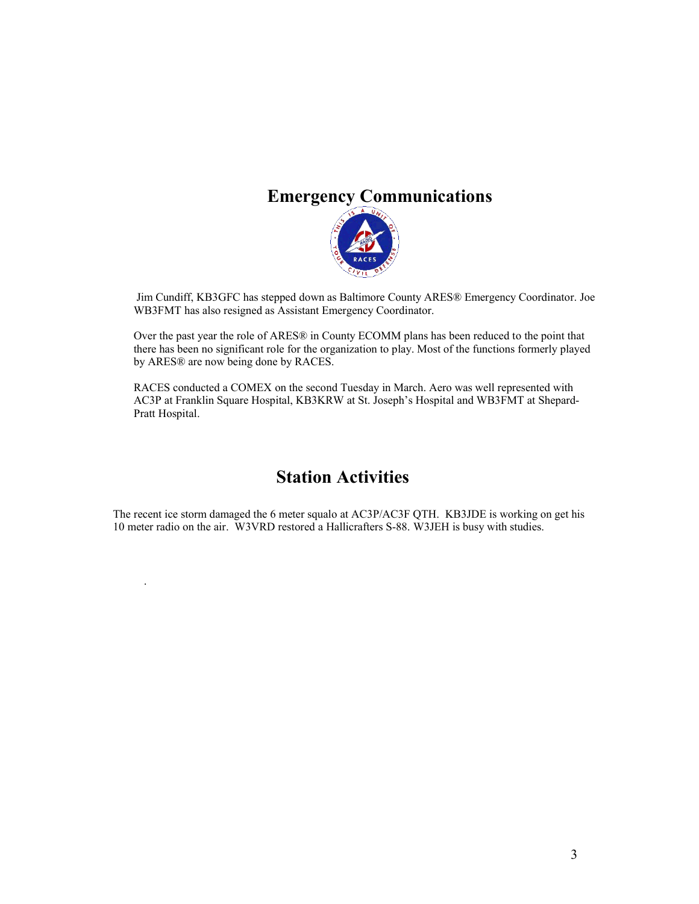# **Emergency Communications**



Jim Cundiff, KB3GFC has stepped down as Baltimore County ARES® Emergency Coordinator. Joe WB3FMT has also resigned as Assistant Emergency Coordinator.

Over the past year the role of ARES® in County ECOMM plans has been reduced to the point that there has been no significant role for the organization to play. Most of the functions formerly played by ARES® are now being done by RACES.

RACES conducted a COMEX on the second Tuesday in March. Aero was well represented with AC3P at Franklin Square Hospital, KB3KRW at St. Joseph's Hospital and WB3FMT at Shepard-Pratt Hospital.

## **Station Activities**

The recent ice storm damaged the 6 meter squalo at AC3P/AC3F QTH. KB3JDE is working on get his 10 meter radio on the air. W3VRD restored a Hallicrafters S-88. W3JEH is busy with studies.

.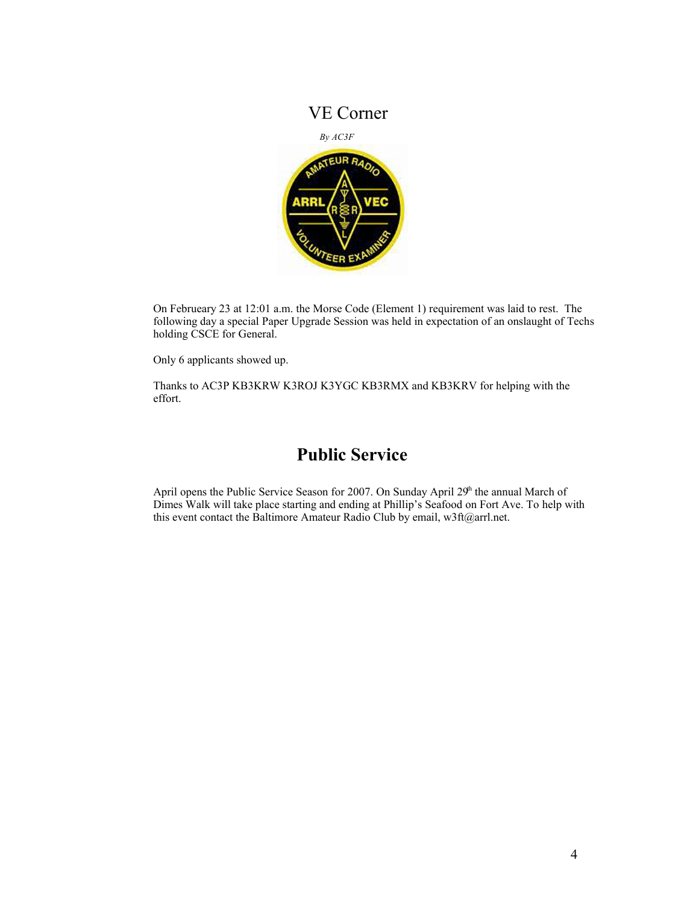### VE Corner



On Februeary 23 at 12:01 a.m. the Morse Code (Element 1) requirement was laid to rest. The following day a special Paper Upgrade Session was held in expectation of an onslaught of Techs holding CSCE for General.

Only 6 applicants showed up.

Thanks to AC3P KB3KRW K3ROJ K3YGC KB3RMX and KB3KRV for helping with the effort.

## **Public Service**

April opens the Public Service Season for 2007. On Sunday April  $29<sup>h</sup>$  the annual March of Dimes Walk will take place starting and ending at Phillip's Seafood on Fort Ave. To help with this event contact the Baltimore Amateur Radio Club by email, w3ft@arrl.net.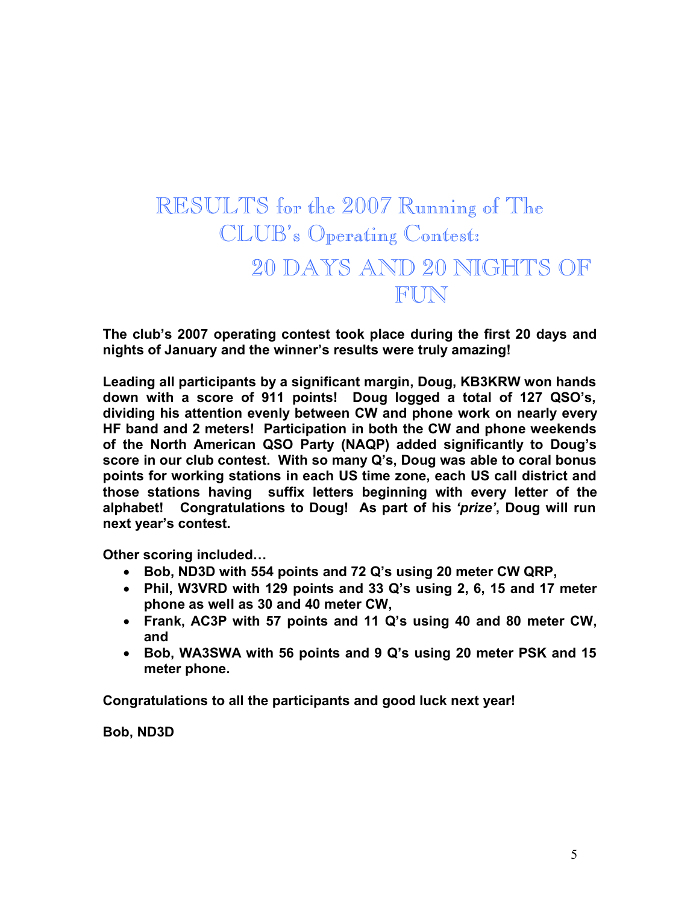# RESULTS for the 2007 Running of The CLUB's Operating Contest: 20 DAYS AND 20 NIGHTS OF FUN

**The club's 2007 operating contest took place during the first 20 days and nights of January and the winner's results were truly amazing!**

**Leading all participants by a significant margin, Doug, KB3KRW won hands down with a score of 911 points! Doug logged a total of 127 QSO's, dividing his attention evenly between CW and phone work on nearly every HF band and 2 meters! Participation in both the CW and phone weekends of the North American QSO Party (NAQP) added significantly to Doug's score in our club contest. With so many Q's, Doug was able to coral bonus points for working stations in each US time zone, each US call district and those stations having suffix letters beginning with every letter of the alphabet! Congratulations to Doug! As part of his** *'prize'***, Doug will run next year's contest.**

**Other scoring included…**

- **Bob, ND3D with 554 points and 72 Q's using 20 meter CW QRP,**
- **Phil, W3VRD with 129 points and 33 Q's using 2, 6, 15 and 17 meter phone as well as 30 and 40 meter CW,**
- **Frank, AC3P with 57 points and 11 Q's using 40 and 80 meter CW, and**
- **Bob, WA3SWA with 56 points and 9 Q's using 20 meter PSK and 15 meter phone.**

**Congratulations to all the participants and good luck next year!** 

**Bob, ND3D**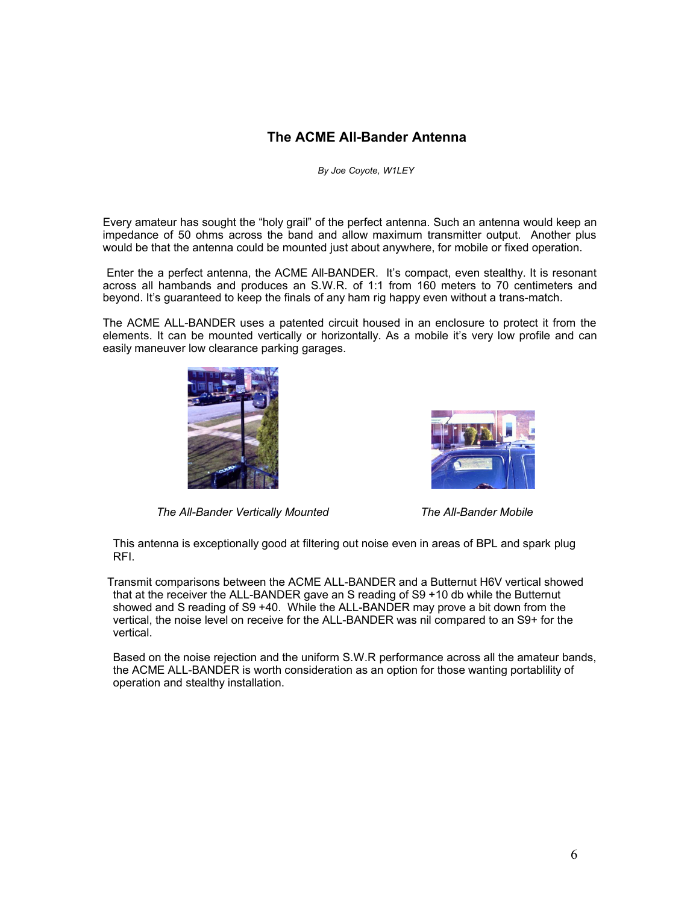#### **The ACME All-Bander Antenna**

*By Joe Coyote, W1LEY* 

Every amateur has sought the "holy grail" of the perfect antenna. Such an antenna would keep an impedance of 50 ohms across the band and allow maximum transmitter output. Another plus would be that the antenna could be mounted just about anywhere, for mobile or fixed operation.

Enter the a perfect antenna, the ACME All-BANDER. It's compact, even stealthy. It is resonant across all hambands and produces an S.W.R. of 1:1 from 160 meters to 70 centimeters and beyond. It's guaranteed to keep the finals of any ham rig happy even without a trans-match.

The ACME ALL-BANDER uses a patented circuit housed in an enclosure to protect it from the elements. It can be mounted vertically or horizontally. As a mobile it's very low profile and can easily maneuver low clearance parking garages.



*The All-Bander Vertically Mounted The All-Bander Mobile*



 This antenna is exceptionally good at filtering out noise even in areas of BPL and spark plug RFI.

 Transmit comparisons between the ACME ALL-BANDER and a Butternut H6V vertical showed that at the receiver the ALL-BANDER gave an S reading of S9 +10 db while the Butternut showed and S reading of S9 +40. While the ALL-BANDER may prove a bit down from the vertical, the noise level on receive for the ALL-BANDER was nil compared to an S9+ for the vertical.

Based on the noise rejection and the uniform S.W.R performance across all the amateur bands, the ACME ALL-BANDER is worth consideration as an option for those wanting portablility of operation and stealthy installation.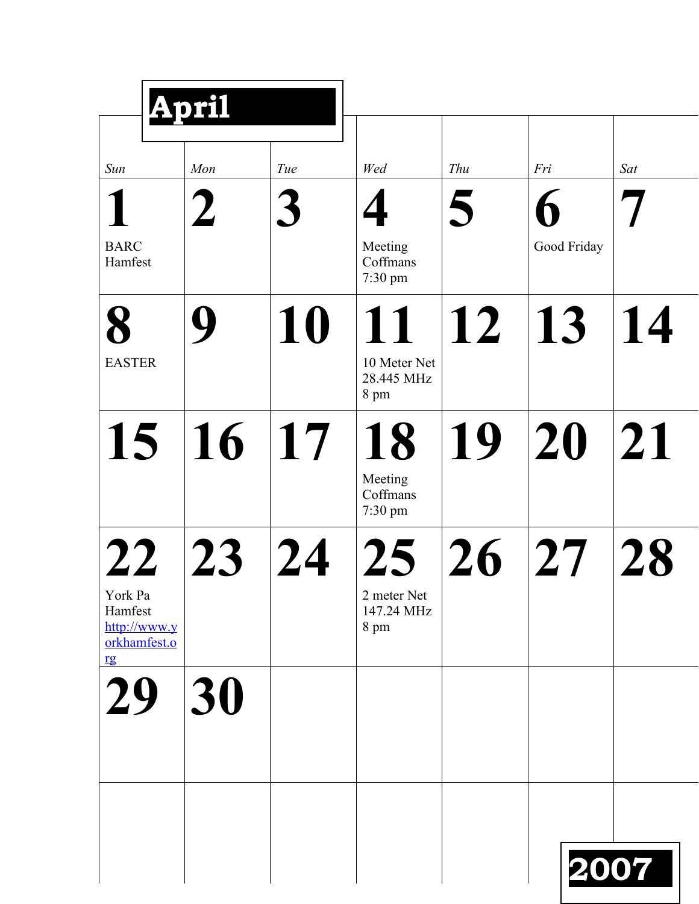|                                                                | April |     |                                                      |            |             |      |
|----------------------------------------------------------------|-------|-----|------------------------------------------------------|------------|-------------|------|
| Sun                                                            | Mon   | Tue | Wed                                                  | Thu        | Fri         | Sat  |
| <b>BARC</b><br>Hamfest                                         |       | 3   | Meeting<br>Coffmans<br>7:30 pm                       | 5          | Good Friday |      |
| 8<br><b>EASTER</b>                                             |       | 10  | 11<br>10 Meter Net<br>28.445 MHz<br>8 pm             | $\vert$ 12 | 13          | 14   |
| 15                                                             | 16    | 17  | 18<br>Meeting<br>Coffmans<br>7:30 pm                 | 19         | 20          | 21   |
| 22<br>York Pa<br>Hamfest<br>http://www.y<br>orkhamfest.o<br>rg | 23    | 24  | 25 <sub>1</sub><br>2 meter Net<br>147.24 MHz<br>8 pm | 26         | 27          | 28   |
| 29                                                             | 30    |     |                                                      |            |             |      |
|                                                                |       |     |                                                      |            |             | 2007 |